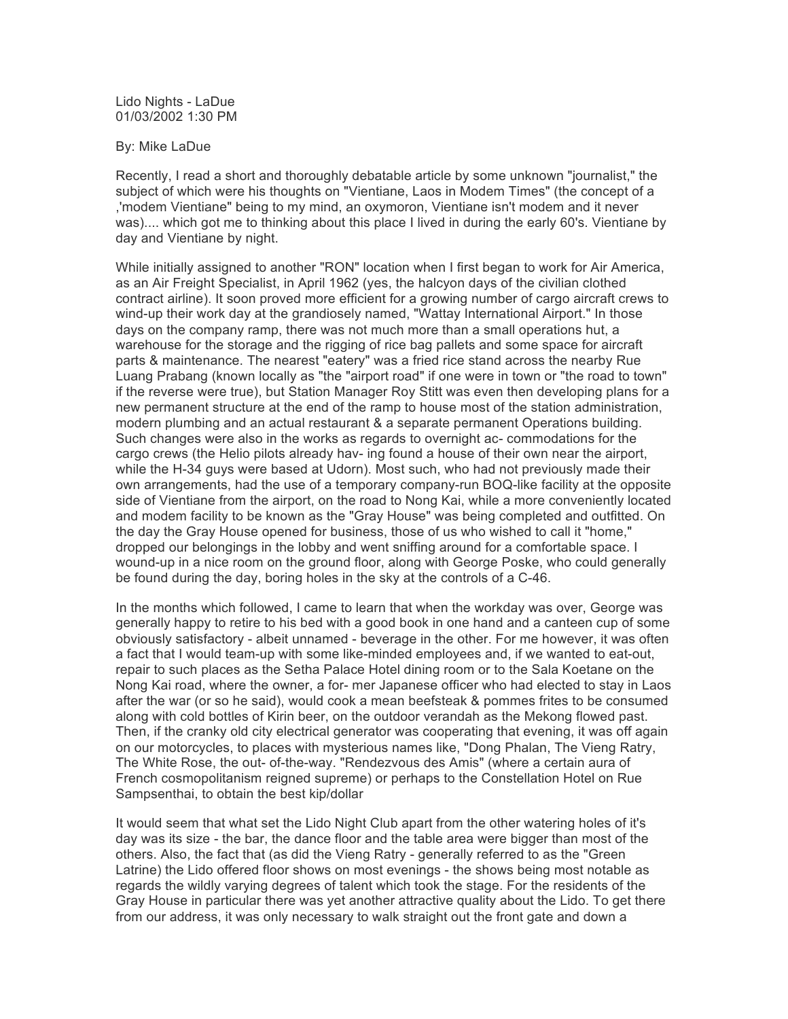Lido Nights - LaDue 01/03/2002 1:30 PM

By: Mike LaDue

Recently, I read a short and thoroughly debatable article by some unknown "journalist," the subject of which were his thoughts on "Vientiane, Laos in Modem Times" (the concept of a ,'modem Vientiane" being to my mind, an oxymoron, Vientiane isn't modem and it never was).... which got me to thinking about this place I lived in during the early 60's. Vientiane by day and Vientiane by night.

While initially assigned to another "RON" location when I first began to work for Air America, as an Air Freight Specialist, in April 1962 (yes, the halcyon days of the civilian clothed contract airline). It soon proved more efficient for a growing number of cargo aircraft crews to wind-up their work day at the grandiosely named, "Wattay International Airport." In those days on the company ramp, there was not much more than a small operations hut, a warehouse for the storage and the rigging of rice bag pallets and some space for aircraft parts & maintenance. The nearest "eatery" was a fried rice stand across the nearby Rue Luang Prabang (known locally as "the "airport road" if one were in town or "the road to town" if the reverse were true), but Station Manager Roy Stitt was even then developing plans for a new permanent structure at the end of the ramp to house most of the station administration, modern plumbing and an actual restaurant & a separate permanent Operations building. Such changes were also in the works as regards to overnight ac- commodations for the cargo crews (the Helio pilots already hav- ing found a house of their own near the airport, while the H-34 guys were based at Udorn). Most such, who had not previously made their own arrangements, had the use of a temporary company-run BOQ-like facility at the opposite side of Vientiane from the airport, on the road to Nong Kai, while a more conveniently located and modem facility to be known as the "Gray House" was being completed and outfitted. On the day the Gray House opened for business, those of us who wished to call it "home," dropped our belongings in the lobby and went sniffing around for a comfortable space. I wound-up in a nice room on the ground floor, along with George Poske, who could generally be found during the day, boring holes in the sky at the controls of a C-46.

In the months which followed, I came to learn that when the workday was over, George was generally happy to retire to his bed with a good book in one hand and a canteen cup of some obviously satisfactory - albeit unnamed - beverage in the other. For me however, it was often a fact that I would team-up with some like-minded employees and, if we wanted to eat-out, repair to such places as the Setha Palace Hotel dining room or to the Sala Koetane on the Nong Kai road, where the owner, a for- mer Japanese officer who had elected to stay in Laos after the war (or so he said), would cook a mean beefsteak & pommes frites to be consumed along with cold bottles of Kirin beer, on the outdoor verandah as the Mekong flowed past. Then, if the cranky old city electrical generator was cooperating that evening, it was off again on our motorcycles, to places with mysterious names like, "Dong Phalan, The Vieng Ratry, The White Rose, the out- of-the-way. "Rendezvous des Amis" (where a certain aura of French cosmopolitanism reigned supreme) or perhaps to the Constellation Hotel on Rue Sampsenthai, to obtain the best kip/dollar

It would seem that what set the Lido Night Club apart from the other watering holes of it's day was its size - the bar, the dance floor and the table area were bigger than most of the others. Also, the fact that (as did the Vieng Ratry - generally referred to as the "Green Latrine) the Lido offered floor shows on most evenings - the shows being most notable as regards the wildly varying degrees of talent which took the stage. For the residents of the Gray House in particular there was yet another attractive quality about the Lido. To get there from our address, it was only necessary to walk straight out the front gate and down a